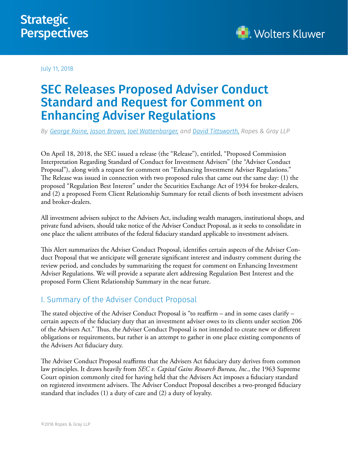## **Strategic Perspectives**



July 11, 2018

# SEC Releases Proposed Adviser Conduct Standard and Request for Comment on Enhancing Adviser Regulations

*By [George Raine](https://www.ropesgray.com/en/biographies/r/george-b-raine), [Jason Brown](https://www.ropesgray.com/en/biographies/b/jason-e-brown), [Joel Wattenbarger,](https://www.ropesgray.com/en/biographies/w/joel-a-wattenbarger) and [David Tittsworth,](https://www.ropesgray.com/en/biographies/t/david-tittsworth) Ropes & Gray LLP*

On April 18, 2018, the SEC issued a release (the "Release"), entitled, "Proposed Commission Interpretation Regarding Standard of Conduct for Investment Advisers" (the "Adviser Conduct Proposal"), along with a request for comment on "Enhancing Investment Adviser Regulations." The Release was issued in connection with two proposed rules that came out the same day: (1) the proposed "Regulation Best Interest" under the Securities Exchange Act of 1934 for broker-dealers, and (2) a proposed Form Client Relationship Summary for retail clients of both investment advisers and broker-dealers.

All investment advisers subject to the Advisers Act, including wealth managers, institutional shops, and private fund advisers, should take notice of the Adviser Conduct Proposal, as it seeks to consolidate in one place the salient attributes of the federal fiduciary standard applicable to investment advisers.

This Alert summarizes the Adviser Conduct Proposal, identifies certain aspects of the Adviser Conduct Proposal that we anticipate will generate significant interest and industry comment during the review period, and concludes by summarizing the request for comment on Enhancing Investment Adviser Regulations. We will provide a separate alert addressing Regulation Best Interest and the proposed Form Client Relationship Summary in the near future.

## I. Summary of the Adviser Conduct Proposal

The stated objective of the Adviser Conduct Proposal is "to reaffirm – and in some cases clarify – certain aspects of the fiduciary duty that an investment adviser owes to its clients under section 206 of the Advisers Act." Thus, the Adviser Conduct Proposal is not intended to create new or different obligations or requirements, but rather is an attempt to gather in one place existing components of the Advisers Act fiduciary duty.

The Adviser Conduct Proposal reaffirms that the Advisers Act fiduciary duty derives from common law principles. It draws heavily from *SEC v. Capital Gains Research Bureau, Inc.*, the 1963 Supreme Court opinion commonly cited for having held that the Advisers Act imposes a fiduciary standard on registered investment advisers. The Adviser Conduct Proposal describes a two-pronged fiduciary standard that includes (1) a duty of care and (2) a duty of loyalty.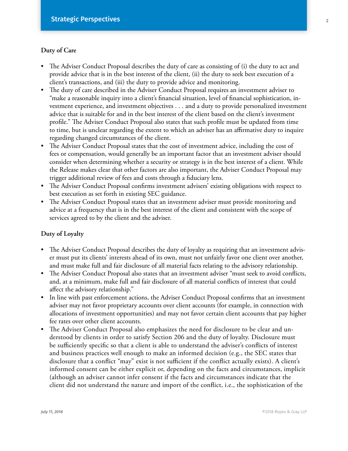#### **Duty of Care**

- The Adviser Conduct Proposal describes the duty of care as consisting of (i) the duty to act and provide advice that is in the best interest of the client, (ii) the duty to seek best execution of a client's transactions, and (iii) the duty to provide advice and monitoring.
- The duty of care described in the Adviser Conduct Proposal requires an investment adviser to "make a reasonable inquiry into a client's financial situation, level of financial sophistication, investment experience, and investment objectives . . . and a duty to provide personalized investment advice that is suitable for and in the best interest of the client based on the client's investment profile." The Adviser Conduct Proposal also states that such profile must be updated from time to time, but is unclear regarding the extent to which an adviser has an affirmative duty to inquire regarding changed circumstances of the client.
- The Adviser Conduct Proposal states that the cost of investment advice, including the cost of fees or compensation, would generally be an important factor that an investment adviser should consider when determining whether a security or strategy is in the best interest of a client. While the Release makes clear that other factors are also important, the Adviser Conduct Proposal may trigger additional review of fees and costs through a fiduciary lens.
- The Adviser Conduct Proposal confirms investment advisers' existing obligations with respect to best execution as set forth in existing SEC guidance.
- The Adviser Conduct Proposal states that an investment adviser must provide monitoring and advice at a frequency that is in the best interest of the client and consistent with the scope of services agreed to by the client and the adviser.

#### **Duty of Loyalty**

- The Adviser Conduct Proposal describes the duty of loyalty as requiring that an investment adviser must put its clients' interests ahead of its own, must not unfairly favor one client over another, and must make full and fair disclosure of all material facts relating to the advisory relationship.
- The Adviser Conduct Proposal also states that an investment adviser "must seek to avoid conflicts, and, at a minimum, make full and fair disclosure of all material conflicts of interest that could affect the advisory relationship."
- In line with past enforcement actions, the Adviser Conduct Proposal confirms that an investment adviser may not favor proprietary accounts over client accounts (for example, in connection with allocations of investment opportunities) and may not favor certain client accounts that pay higher fee rates over other client accounts.
- The Adviser Conduct Proposal also emphasizes the need for disclosure to be clear and understood by clients in order to satisfy Section 206 and the duty of loyalty. Disclosure must be sufficiently specific so that a client is able to understand the adviser's conflicts of interest and business practices well enough to make an informed decision (e.g., the SEC states that disclosure that a conflict "may" exist is not sufficient if the conflict actually exists). A client's informed consent can be either explicit or, depending on the facts and circumstances, implicit (although an adviser cannot infer consent if the facts and circumstances indicate that the client did not understand the nature and import of the conflict, i.e., the sophistication of the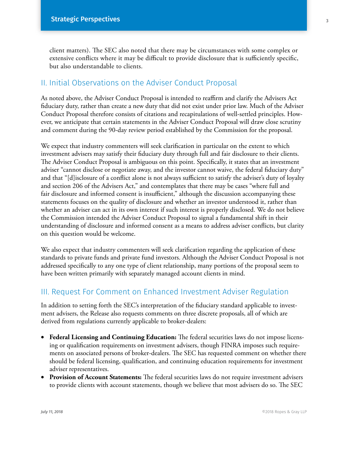client matters). The SEC also noted that there may be circumstances with some complex or extensive conflicts where it may be difficult to provide disclosure that is sufficiently specific, but also understandable to clients.

### II. Initial Observations on the Adviser Conduct Proposal

As noted above, the Adviser Conduct Proposal is intended to reaffirm and clarify the Advisers Act fiduciary duty, rather than create a new duty that did not exist under prior law. Much of the Adviser Conduct Proposal therefore consists of citations and recapitulations of well-settled principles. However, we anticipate that certain statements in the Adviser Conduct Proposal will draw close scrutiny and comment during the 90-day review period established by the Commission for the proposal.

We expect that industry commenters will seek clarification in particular on the extent to which investment advisers may satisfy their fiduciary duty through full and fair disclosure to their clients. The Adviser Conduct Proposal is ambiguous on this point. Specifically, it states that an investment adviser "cannot disclose or negotiate away, and the investor cannot waive, the federal fiduciary duty" and that "[d]isclosure of a conflict alone is not always sufficient to satisfy the adviser's duty of loyalty and section 206 of the Advisers Act," and contemplates that there may be cases "where full and fair disclosure and informed consent is insufficient," although the discussion accompanying these statements focuses on the quality of disclosure and whether an investor understood it, rather than whether an adviser can act in its own interest if such interest is properly disclosed. We do not believe the Commission intended the Adviser Conduct Proposal to signal a fundamental shift in their understanding of disclosure and informed consent as a means to address adviser conflicts, but clarity on this question would be welcome.

We also expect that industry commenters will seek clarification regarding the application of these standards to private funds and private fund investors. Although the Adviser Conduct Proposal is not addressed specifically to any one type of client relationship, many portions of the proposal seem to have been written primarily with separately managed account clients in mind.

### III. Request For Comment on Enhanced Investment Adviser Regulation

In addition to setting forth the SEC's interpretation of the fiduciary standard applicable to investment advisers, the Release also requests comments on three discrete proposals, all of which are derived from regulations currently applicable to broker-dealers:

- • **Federal Licensing and Continuing Education:** The federal securities laws do not impose licensing or qualification requirements on investment advisers, though FINRA imposes such requirements on associated persons of broker-dealers. The SEC has requested comment on whether there should be federal licensing, qualification, and continuing education requirements for investment adviser representatives.
- • **Provision of Account Statements:** The federal securities laws do not require investment advisers to provide clients with account statements, though we believe that most advisers do so. The SEC